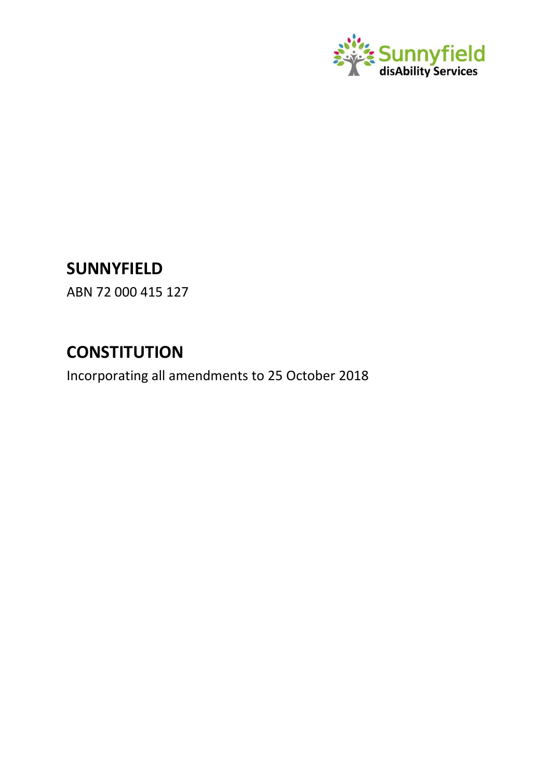

# **SUNNYFIELD**

ABN 72 000 415 127

# **CONSTITUTION**

Incorporating all amendments to 25 October 2018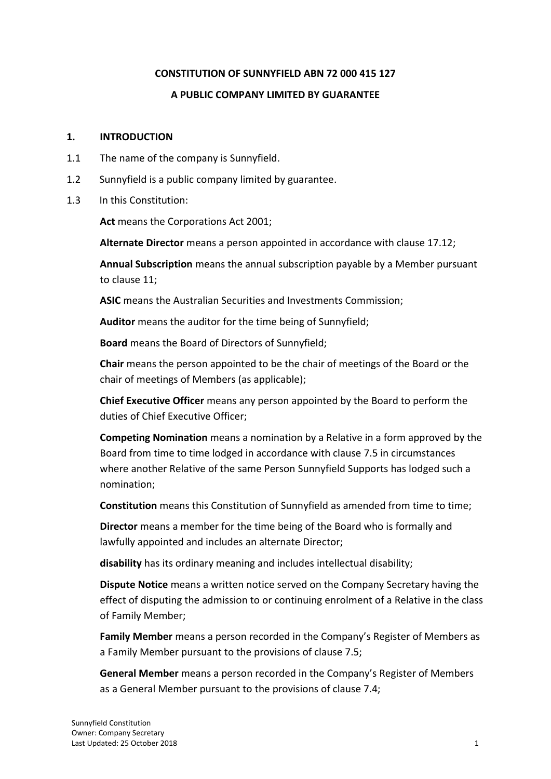#### **CONSTITUTION OF SUNNYFIELD ABN 72 000 415 127**

## **A PUBLIC COMPANY LIMITED BY GUARANTEE**

## **1. INTRODUCTION**

- 1.1 The name of the company is Sunnyfield.
- 1.2 Sunnyfield is a public company limited by guarantee.
- 1.3 In this Constitution:

**Act** means the Corporations Act 2001;

**Alternate Director** means a person appointed in accordance with clause 17.12;

**Annual Subscription** means the annual subscription payable by a Member pursuant to clause 11;

**ASIC** means the Australian Securities and Investments Commission;

**Auditor** means the auditor for the time being of Sunnyfield;

**Board** means the Board of Directors of Sunnyfield;

**Chair** means the person appointed to be the chair of meetings of the Board or the chair of meetings of Members (as applicable);

**Chief Executive Officer** means any person appointed by the Board to perform the duties of Chief Executive Officer;

**Competing Nomination** means a nomination by a Relative in a form approved by the Board from time to time lodged in accordance with clause 7.5 in circumstances where another Relative of the same Person Sunnyfield Supports has lodged such a nomination;

**Constitution** means this Constitution of Sunnyfield as amended from time to time;

**Director** means a member for the time being of the Board who is formally and lawfully appointed and includes an alternate Director;

**disability** has its ordinary meaning and includes intellectual disability;

**Dispute Notice** means a written notice served on the Company Secretary having the effect of disputing the admission to or continuing enrolment of a Relative in the class of Family Member;

**Family Member** means a person recorded in the Company's Register of Members as a Family Member pursuant to the provisions of clause 7.5;

**General Member** means a person recorded in the Company's Register of Members as a General Member pursuant to the provisions of clause 7.4;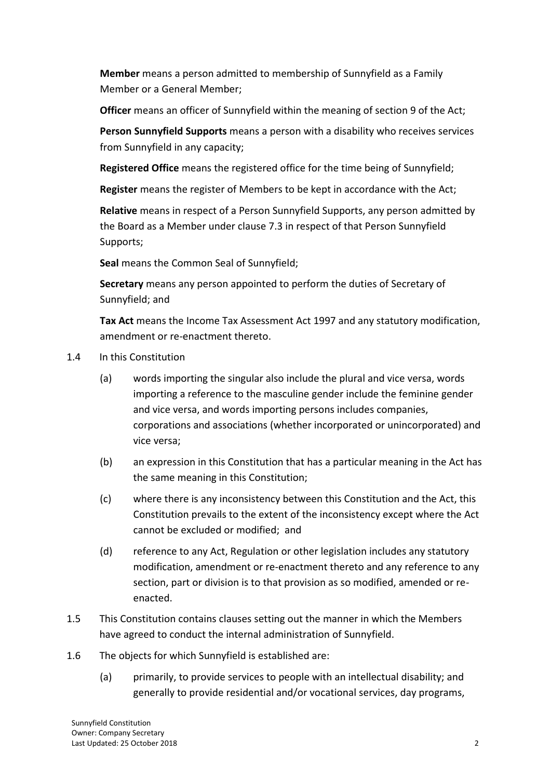**Member** means a person admitted to membership of Sunnyfield as a Family Member or a General Member;

**Officer** means an officer of Sunnyfield within the meaning of section 9 of the Act;

**Person Sunnyfield Supports** means a person with a disability who receives services from Sunnyfield in any capacity;

**Registered Office** means the registered office for the time being of Sunnyfield;

**Register** means the register of Members to be kept in accordance with the Act;

**Relative** means in respect of a Person Sunnyfield Supports, any person admitted by the Board as a Member under clause 7.3 in respect of that Person Sunnyfield Supports;

**Seal** means the Common Seal of Sunnyfield;

**Secretary** means any person appointed to perform the duties of Secretary of Sunnyfield; and

**Tax Act** means the Income Tax Assessment Act 1997 and any statutory modification, amendment or re-enactment thereto.

- 1.4 In this Constitution
	- (a) words importing the singular also include the plural and vice versa, words importing a reference to the masculine gender include the feminine gender and vice versa, and words importing persons includes companies, corporations and associations (whether incorporated or unincorporated) and vice versa;
	- (b) an expression in this Constitution that has a particular meaning in the Act has the same meaning in this Constitution;
	- (c) where there is any inconsistency between this Constitution and the Act, this Constitution prevails to the extent of the inconsistency except where the Act cannot be excluded or modified; and
	- (d) reference to any Act, Regulation or other legislation includes any statutory modification, amendment or re-enactment thereto and any reference to any section, part or division is to that provision as so modified, amended or reenacted.
- 1.5 This Constitution contains clauses setting out the manner in which the Members have agreed to conduct the internal administration of Sunnyfield.
- 1.6 The objects for which Sunnyfield is established are:
	- (a) primarily, to provide services to people with an intellectual disability; and generally to provide residential and/or vocational services, day programs,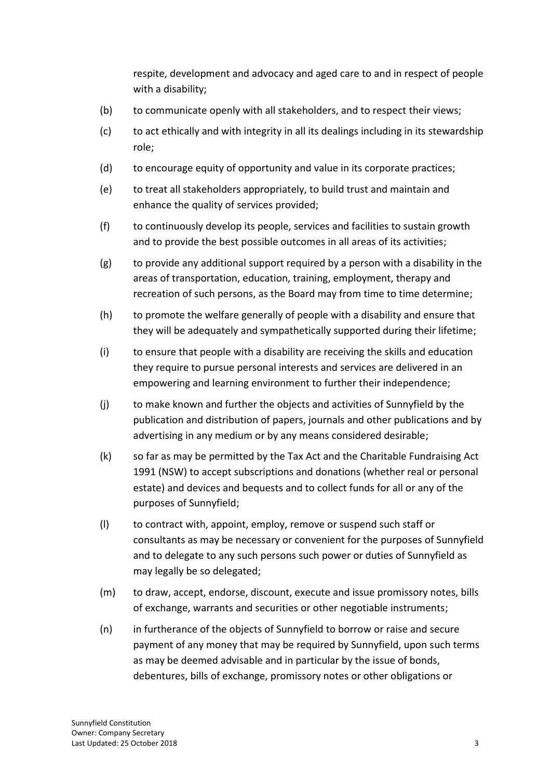respite, development and advocacy and aged care to and in respect of people with a disability;

- (b) to communicate openly with all stakeholders, and to respect their views;
- (c) to act ethically and with integrity in all its dealings including in its stewardship role;
- (d) to encourage equity of opportunity and value in its corporate practices;
- (e) to treat all stakeholders appropriately, to build trust and maintain and enhance the quality of services provided;
- (f) to continuously develop its people, services and facilities to sustain growth and to provide the best possible outcomes in all areas of its activities;
- (g) to provide any additional support required by a person with a disability in the areas of transportation, education, training, employment, therapy and recreation of such persons, as the Board may from time to time determine;
- (h) to promote the welfare generally of people with a disability and ensure that they will be adequately and sympathetically supported during their lifetime;
- (i) to ensure that people with a disability are receiving the skills and education they require to pursue personal interests and services are delivered in an empowering and learning environment to further their independence;
- (j) to make known and further the objects and activities of Sunnyfield by the publication and distribution of papers, journals and other publications and by advertising in any medium or by any means considered desirable;
- (k) so far as may be permitted by the Tax Act and the Charitable Fundraising Act 1991 (NSW) to accept subscriptions and donations (whether real or personal estate) and devices and bequests and to collect funds for all or any of the purposes of Sunnyfield;
- (l) to contract with, appoint, employ, remove or suspend such staff or consultants as may be necessary or convenient for the purposes of Sunnyfield and to delegate to any such persons such power or duties of Sunnyfield as may legally be so delegated;
- (m) to draw, accept, endorse, discount, execute and issue promissory notes, bills of exchange, warrants and securities or other negotiable instruments;
- (n) in furtherance of the objects of Sunnyfield to borrow or raise and secure payment of any money that may be required by Sunnyfield, upon such terms as may be deemed advisable and in particular by the issue of bonds, debentures, bills of exchange, promissory notes or other obligations or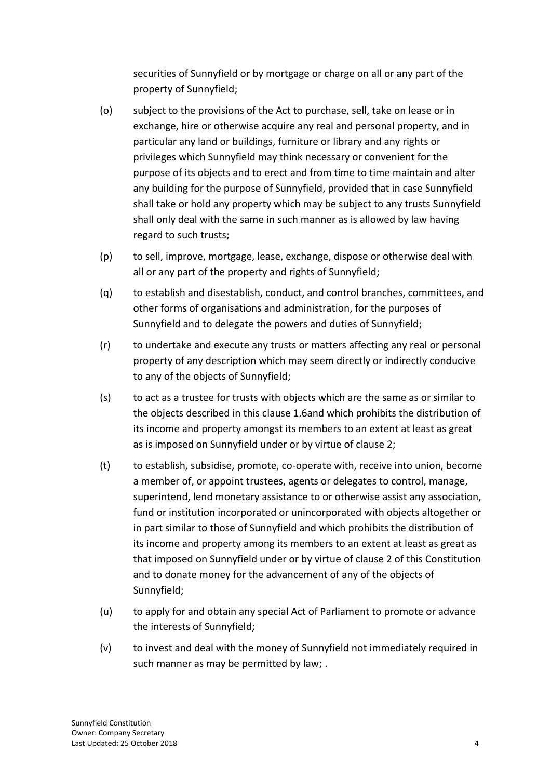securities of Sunnyfield or by mortgage or charge on all or any part of the property of Sunnyfield;

- (o) subject to the provisions of the Act to purchase, sell, take on lease or in exchange, hire or otherwise acquire any real and personal property, and in particular any land or buildings, furniture or library and any rights or privileges which Sunnyfield may think necessary or convenient for the purpose of its objects and to erect and from time to time maintain and alter any building for the purpose of Sunnyfield, provided that in case Sunnyfield shall take or hold any property which may be subject to any trusts Sunnyfield shall only deal with the same in such manner as is allowed by law having regard to such trusts;
- (p) to sell, improve, mortgage, lease, exchange, dispose or otherwise deal with all or any part of the property and rights of Sunnyfield;
- (q) to establish and disestablish, conduct, and control branches, committees, and other forms of organisations and administration, for the purposes of Sunnyfield and to delegate the powers and duties of Sunnyfield;
- (r) to undertake and execute any trusts or matters affecting any real or personal property of any description which may seem directly or indirectly conducive to any of the objects of Sunnyfield;
- (s) to act as a trustee for trusts with objects which are the same as or similar to the objects described in this clause 1.6and which prohibits the distribution of its income and property amongst its members to an extent at least as great as is imposed on Sunnyfield under or by virtue of clause 2;
- (t) to establish, subsidise, promote, co-operate with, receive into union, become a member of, or appoint trustees, agents or delegates to control, manage, superintend, lend monetary assistance to or otherwise assist any association, fund or institution incorporated or unincorporated with objects altogether or in part similar to those of Sunnyfield and which prohibits the distribution of its income and property among its members to an extent at least as great as that imposed on Sunnyfield under or by virtue of clause 2 of this Constitution and to donate money for the advancement of any of the objects of Sunnyfield;
- (u) to apply for and obtain any special Act of Parliament to promote or advance the interests of Sunnyfield;
- (v) to invest and deal with the money of Sunnyfield not immediately required in such manner as may be permitted by law; .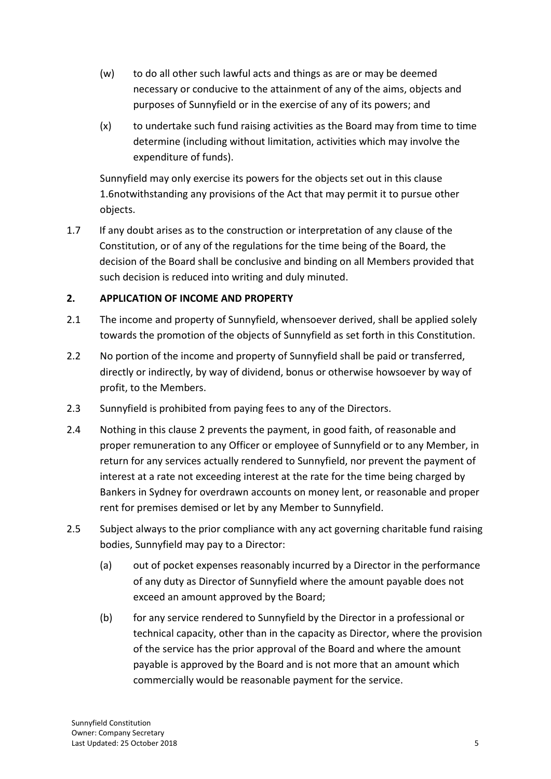- (w) to do all other such lawful acts and things as are or may be deemed necessary or conducive to the attainment of any of the aims, objects and purposes of Sunnyfield or in the exercise of any of its powers; and
- (x) to undertake such fund raising activities as the Board may from time to time determine (including without limitation, activities which may involve the expenditure of funds).

Sunnyfield may only exercise its powers for the objects set out in this clause 1.6notwithstanding any provisions of the Act that may permit it to pursue other objects.

1.7 If any doubt arises as to the construction or interpretation of any clause of the Constitution, or of any of the regulations for the time being of the Board, the decision of the Board shall be conclusive and binding on all Members provided that such decision is reduced into writing and duly minuted.

## **2. APPLICATION OF INCOME AND PROPERTY**

- 2.1 The income and property of Sunnyfield, whensoever derived, shall be applied solely towards the promotion of the objects of Sunnyfield as set forth in this Constitution.
- 2.2 No portion of the income and property of Sunnyfield shall be paid or transferred, directly or indirectly, by way of dividend, bonus or otherwise howsoever by way of profit, to the Members.
- 2.3 Sunnyfield is prohibited from paying fees to any of the Directors.
- 2.4 Nothing in this clause 2 prevents the payment, in good faith, of reasonable and proper remuneration to any Officer or employee of Sunnyfield or to any Member, in return for any services actually rendered to Sunnyfield, nor prevent the payment of interest at a rate not exceeding interest at the rate for the time being charged by Bankers in Sydney for overdrawn accounts on money lent, or reasonable and proper rent for premises demised or let by any Member to Sunnyfield.
- 2.5 Subject always to the prior compliance with any act governing charitable fund raising bodies, Sunnyfield may pay to a Director:
	- (a) out of pocket expenses reasonably incurred by a Director in the performance of any duty as Director of Sunnyfield where the amount payable does not exceed an amount approved by the Board;
	- (b) for any service rendered to Sunnyfield by the Director in a professional or technical capacity, other than in the capacity as Director, where the provision of the service has the prior approval of the Board and where the amount payable is approved by the Board and is not more that an amount which commercially would be reasonable payment for the service.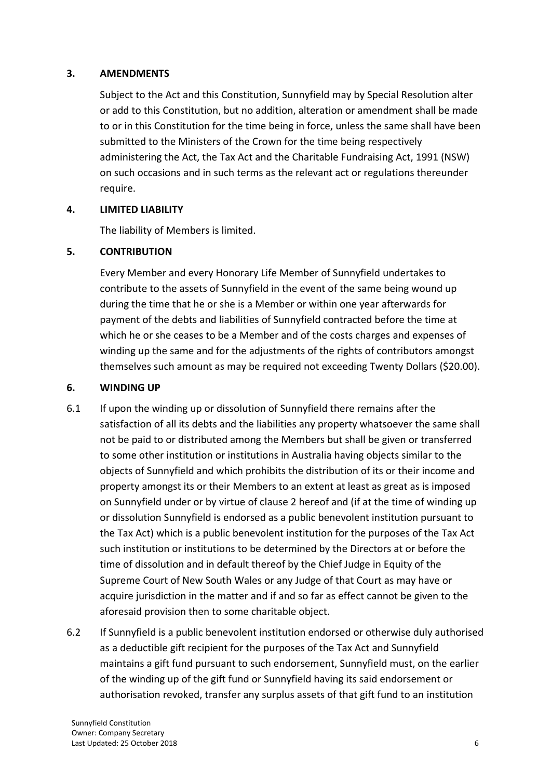#### **3. AMENDMENTS**

Subject to the Act and this Constitution, Sunnyfield may by Special Resolution alter or add to this Constitution, but no addition, alteration or amendment shall be made to or in this Constitution for the time being in force, unless the same shall have been submitted to the Ministers of the Crown for the time being respectively administering the Act, the Tax Act and the Charitable Fundraising Act, 1991 (NSW) on such occasions and in such terms as the relevant act or regulations thereunder require.

#### **4. LIMITED LIABILITY**

The liability of Members is limited.

#### **5. CONTRIBUTION**

Every Member and every Honorary Life Member of Sunnyfield undertakes to contribute to the assets of Sunnyfield in the event of the same being wound up during the time that he or she is a Member or within one year afterwards for payment of the debts and liabilities of Sunnyfield contracted before the time at which he or she ceases to be a Member and of the costs charges and expenses of winding up the same and for the adjustments of the rights of contributors amongst themselves such amount as may be required not exceeding Twenty Dollars (\$20.00).

#### **6. WINDING UP**

- 6.1 If upon the winding up or dissolution of Sunnyfield there remains after the satisfaction of all its debts and the liabilities any property whatsoever the same shall not be paid to or distributed among the Members but shall be given or transferred to some other institution or institutions in Australia having objects similar to the objects of Sunnyfield and which prohibits the distribution of its or their income and property amongst its or their Members to an extent at least as great as is imposed on Sunnyfield under or by virtue of clause 2 hereof and (if at the time of winding up or dissolution Sunnyfield is endorsed as a public benevolent institution pursuant to the Tax Act) which is a public benevolent institution for the purposes of the Tax Act such institution or institutions to be determined by the Directors at or before the time of dissolution and in default thereof by the Chief Judge in Equity of the Supreme Court of New South Wales or any Judge of that Court as may have or acquire jurisdiction in the matter and if and so far as effect cannot be given to the aforesaid provision then to some charitable object.
- 6.2 If Sunnyfield is a public benevolent institution endorsed or otherwise duly authorised as a deductible gift recipient for the purposes of the Tax Act and Sunnyfield maintains a gift fund pursuant to such endorsement, Sunnyfield must, on the earlier of the winding up of the gift fund or Sunnyfield having its said endorsement or authorisation revoked, transfer any surplus assets of that gift fund to an institution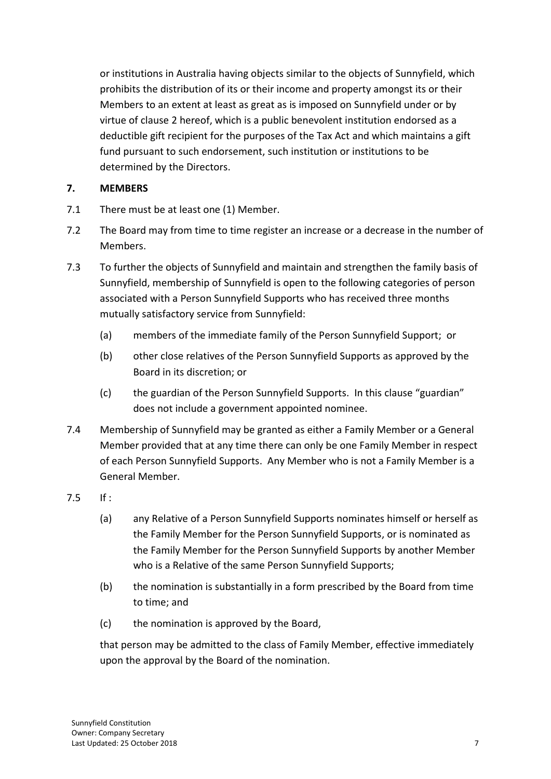or institutions in Australia having objects similar to the objects of Sunnyfield, which prohibits the distribution of its or their income and property amongst its or their Members to an extent at least as great as is imposed on Sunnyfield under or by virtue of clause 2 hereof, which is a public benevolent institution endorsed as a deductible gift recipient for the purposes of the Tax Act and which maintains a gift fund pursuant to such endorsement, such institution or institutions to be determined by the Directors.

## **7. MEMBERS**

- 7.1 There must be at least one (1) Member.
- 7.2 The Board may from time to time register an increase or a decrease in the number of Members.
- 7.3 To further the objects of Sunnyfield and maintain and strengthen the family basis of Sunnyfield, membership of Sunnyfield is open to the following categories of person associated with a Person Sunnyfield Supports who has received three months mutually satisfactory service from Sunnyfield:
	- (a) members of the immediate family of the Person Sunnyfield Support; or
	- (b) other close relatives of the Person Sunnyfield Supports as approved by the Board in its discretion; or
	- (c) the guardian of the Person Sunnyfield Supports. In this clause "guardian" does not include a government appointed nominee.
- 7.4 Membership of Sunnyfield may be granted as either a Family Member or a General Member provided that at any time there can only be one Family Member in respect of each Person Sunnyfield Supports. Any Member who is not a Family Member is a General Member.
- 7.5 If :
	- (a) any Relative of a Person Sunnyfield Supports nominates himself or herself as the Family Member for the Person Sunnyfield Supports, or is nominated as the Family Member for the Person Sunnyfield Supports by another Member who is a Relative of the same Person Sunnyfield Supports;
	- (b) the nomination is substantially in a form prescribed by the Board from time to time; and
	- (c) the nomination is approved by the Board,

that person may be admitted to the class of Family Member, effective immediately upon the approval by the Board of the nomination.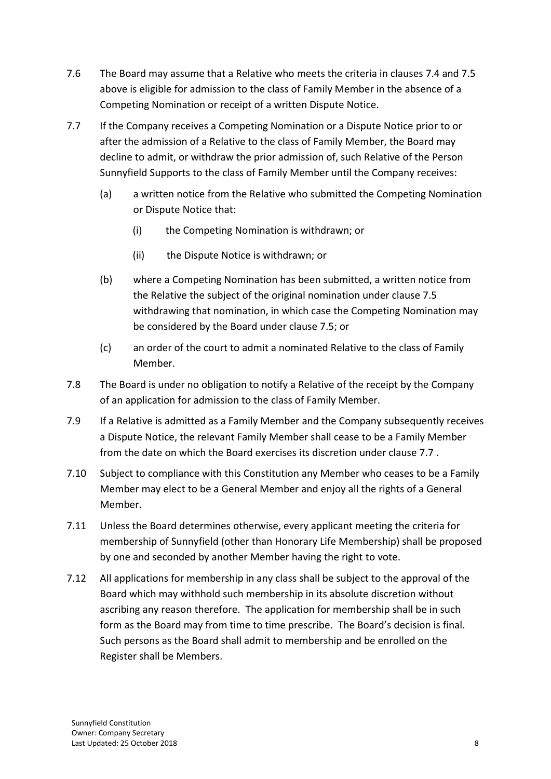- 7.6 The Board may assume that a Relative who meets the criteria in clauses 7.4 and 7.5 above is eligible for admission to the class of Family Member in the absence of a Competing Nomination or receipt of a written Dispute Notice.
- 7.7 If the Company receives a Competing Nomination or a Dispute Notice prior to or after the admission of a Relative to the class of Family Member, the Board may decline to admit, or withdraw the prior admission of, such Relative of the Person Sunnyfield Supports to the class of Family Member until the Company receives:
	- (a) a written notice from the Relative who submitted the Competing Nomination or Dispute Notice that:
		- (i) the Competing Nomination is withdrawn; or
		- (ii) the Dispute Notice is withdrawn; or
	- (b) where a Competing Nomination has been submitted, a written notice from the Relative the subject of the original nomination under clause 7.5 withdrawing that nomination, in which case the Competing Nomination may be considered by the Board under clause 7.5; or
	- (c) an order of the court to admit a nominated Relative to the class of Family Member.
- 7.8 The Board is under no obligation to notify a Relative of the receipt by the Company of an application for admission to the class of Family Member.
- 7.9 If a Relative is admitted as a Family Member and the Company subsequently receives a Dispute Notice, the relevant Family Member shall cease to be a Family Member from the date on which the Board exercises its discretion under clause 7.7
- 7.10 Subject to compliance with this Constitution any Member who ceases to be a Family Member may elect to be a General Member and enjoy all the rights of a General Member.
- 7.11 Unless the Board determines otherwise, every applicant meeting the criteria for membership of Sunnyfield (other than Honorary Life Membership) shall be proposed by one and seconded by another Member having the right to vote.
- 7.12 All applications for membership in any class shall be subject to the approval of the Board which may withhold such membership in its absolute discretion without ascribing any reason therefore. The application for membership shall be in such form as the Board may from time to time prescribe. The Board's decision is final. Such persons as the Board shall admit to membership and be enrolled on the Register shall be Members.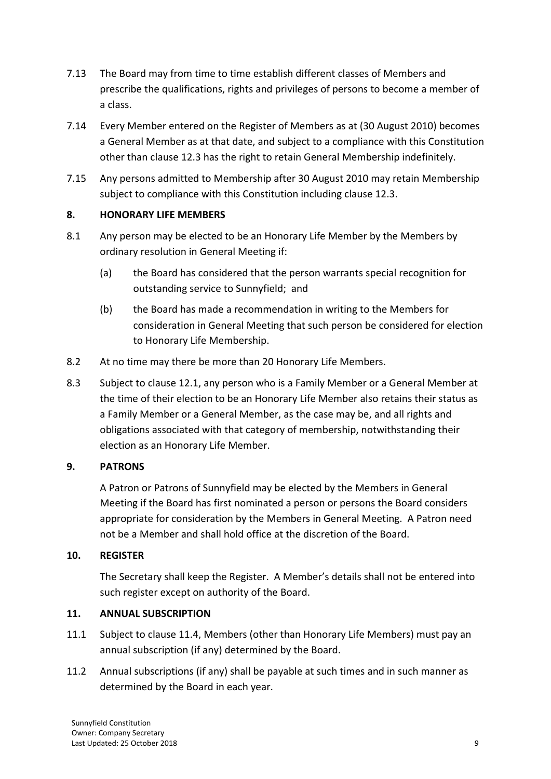- 7.13 The Board may from time to time establish different classes of Members and prescribe the qualifications, rights and privileges of persons to become a member of a class.
- 7.14 Every Member entered on the Register of Members as at (30 August 2010) becomes a General Member as at that date, and subject to a compliance with this Constitution other than clause 12.3 has the right to retain General Membership indefinitely.
- 7.15 Any persons admitted to Membership after 30 August 2010 may retain Membership subject to compliance with this Constitution including clause 12.3.

## **8. HONORARY LIFE MEMBERS**

- 8.1 Any person may be elected to be an Honorary Life Member by the Members by ordinary resolution in General Meeting if:
	- (a) the Board has considered that the person warrants special recognition for outstanding service to Sunnyfield; and
	- (b) the Board has made a recommendation in writing to the Members for consideration in General Meeting that such person be considered for election to Honorary Life Membership.
- 8.2 At no time may there be more than 20 Honorary Life Members.
- 8.3 Subject to clause 12.1, any person who is a Family Member or a General Member at the time of their election to be an Honorary Life Member also retains their status as a Family Member or a General Member, as the case may be, and all rights and obligations associated with that category of membership, notwithstanding their election as an Honorary Life Member.

## **9. PATRONS**

A Patron or Patrons of Sunnyfield may be elected by the Members in General Meeting if the Board has first nominated a person or persons the Board considers appropriate for consideration by the Members in General Meeting. A Patron need not be a Member and shall hold office at the discretion of the Board.

## **10. REGISTER**

The Secretary shall keep the Register. A Member's details shall not be entered into such register except on authority of the Board.

## **11. ANNUAL SUBSCRIPTION**

- 11.1 Subject to clause 11.4, Members (other than Honorary Life Members) must pay an annual subscription (if any) determined by the Board.
- 11.2 Annual subscriptions (if any) shall be payable at such times and in such manner as determined by the Board in each year.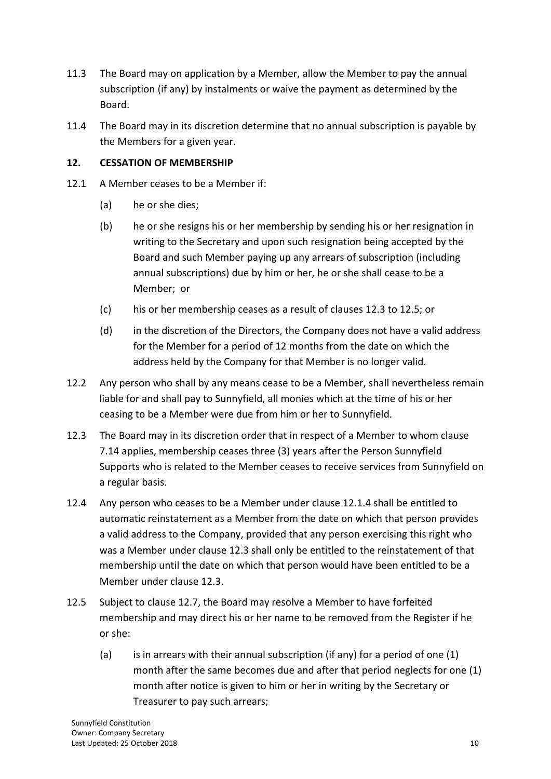- 11.3 The Board may on application by a Member, allow the Member to pay the annual subscription (if any) by instalments or waive the payment as determined by the Board.
- 11.4 The Board may in its discretion determine that no annual subscription is payable by the Members for a given year.

## **12. CESSATION OF MEMBERSHIP**

- 12.1 A Member ceases to be a Member if:
	- (a) he or she dies;
	- (b) he or she resigns his or her membership by sending his or her resignation in writing to the Secretary and upon such resignation being accepted by the Board and such Member paying up any arrears of subscription (including annual subscriptions) due by him or her, he or she shall cease to be a Member; or
	- (c) his or her membership ceases as a result of clauses 12.3 to 12.5; or
	- (d) in the discretion of the Directors, the Company does not have a valid address for the Member for a period of 12 months from the date on which the address held by the Company for that Member is no longer valid.
- 12.2 Any person who shall by any means cease to be a Member, shall nevertheless remain liable for and shall pay to Sunnyfield, all monies which at the time of his or her ceasing to be a Member were due from him or her to Sunnyfield.
- 12.3 The Board may in its discretion order that in respect of a Member to whom clause 7.14 applies, membership ceases three (3) years after the Person Sunnyfield Supports who is related to the Member ceases to receive services from Sunnyfield on a regular basis.
- 12.4 Any person who ceases to be a Member under clause 12.1.4 shall be entitled to automatic reinstatement as a Member from the date on which that person provides a valid address to the Company, provided that any person exercising this right who was a Member under clause 12.3 shall only be entitled to the reinstatement of that membership until the date on which that person would have been entitled to be a Member under clause 12.3.
- 12.5 Subject to clause 12.7, the Board may resolve a Member to have forfeited membership and may direct his or her name to be removed from the Register if he or she:
	- (a) is in arrears with their annual subscription (if any) for a period of one  $(1)$ month after the same becomes due and after that period neglects for one (1) month after notice is given to him or her in writing by the Secretary or Treasurer to pay such arrears;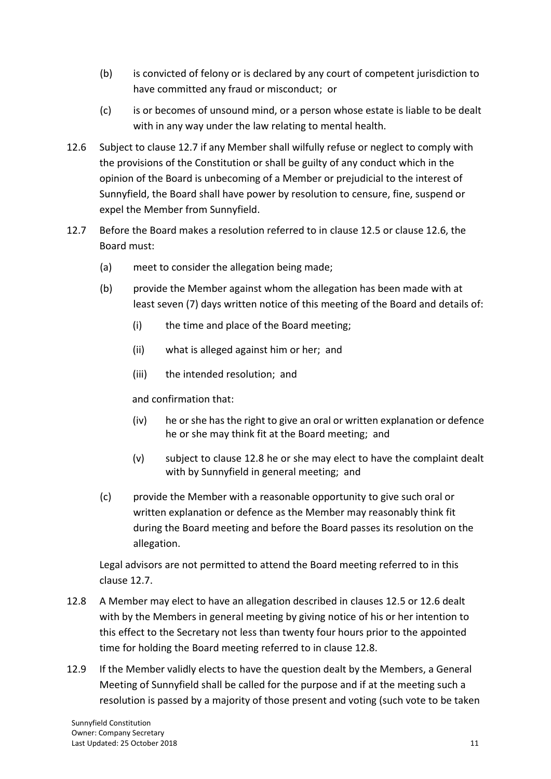- (b) is convicted of felony or is declared by any court of competent jurisdiction to have committed any fraud or misconduct; or
- (c) is or becomes of unsound mind, or a person whose estate is liable to be dealt with in any way under the law relating to mental health.
- 12.6 Subject to clause 12.7 if any Member shall wilfully refuse or neglect to comply with the provisions of the Constitution or shall be guilty of any conduct which in the opinion of the Board is unbecoming of a Member or prejudicial to the interest of Sunnyfield, the Board shall have power by resolution to censure, fine, suspend or expel the Member from Sunnyfield.
- 12.7 Before the Board makes a resolution referred to in clause 12.5 or clause 12.6, the Board must:
	- (a) meet to consider the allegation being made;
	- (b) provide the Member against whom the allegation has been made with at least seven (7) days written notice of this meeting of the Board and details of:
		- (i) the time and place of the Board meeting;
		- (ii) what is alleged against him or her; and
		- (iii) the intended resolution; and

and confirmation that:

- (iv) he or she has the right to give an oral or written explanation or defence he or she may think fit at the Board meeting; and
- (v) subject to clause 12.8 he or she may elect to have the complaint dealt with by Sunnyfield in general meeting; and
- (c) provide the Member with a reasonable opportunity to give such oral or written explanation or defence as the Member may reasonably think fit during the Board meeting and before the Board passes its resolution on the allegation.

Legal advisors are not permitted to attend the Board meeting referred to in this clause 12.7.

- 12.8 A Member may elect to have an allegation described in clauses 12.5 or 12.6 dealt with by the Members in general meeting by giving notice of his or her intention to this effect to the Secretary not less than twenty four hours prior to the appointed time for holding the Board meeting referred to in clause 12.8.
- 12.9 If the Member validly elects to have the question dealt by the Members, a General Meeting of Sunnyfield shall be called for the purpose and if at the meeting such a resolution is passed by a majority of those present and voting (such vote to be taken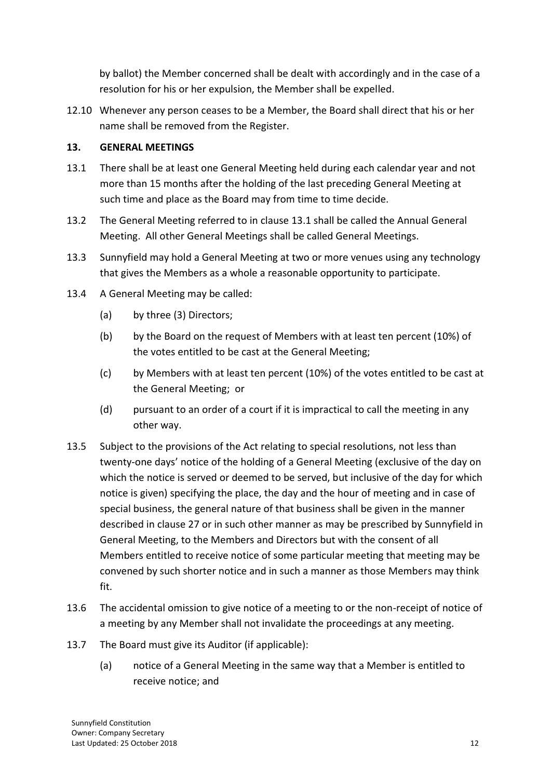by ballot) the Member concerned shall be dealt with accordingly and in the case of a resolution for his or her expulsion, the Member shall be expelled.

12.10 Whenever any person ceases to be a Member, the Board shall direct that his or her name shall be removed from the Register.

## **13. GENERAL MEETINGS**

- 13.1 There shall be at least one General Meeting held during each calendar year and not more than 15 months after the holding of the last preceding General Meeting at such time and place as the Board may from time to time decide.
- 13.2 The General Meeting referred to in clause 13.1 shall be called the Annual General Meeting. All other General Meetings shall be called General Meetings.
- 13.3 Sunnyfield may hold a General Meeting at two or more venues using any technology that gives the Members as a whole a reasonable opportunity to participate.
- 13.4 A General Meeting may be called:
	- (a) by three (3) Directors;
	- (b) by the Board on the request of Members with at least ten percent (10%) of the votes entitled to be cast at the General Meeting;
	- (c) by Members with at least ten percent (10%) of the votes entitled to be cast at the General Meeting; or
	- (d) pursuant to an order of a court if it is impractical to call the meeting in any other way.
- 13.5 Subject to the provisions of the Act relating to special resolutions, not less than twenty-one days' notice of the holding of a General Meeting (exclusive of the day on which the notice is served or deemed to be served, but inclusive of the day for which notice is given) specifying the place, the day and the hour of meeting and in case of special business, the general nature of that business shall be given in the manner described in clause 27 or in such other manner as may be prescribed by Sunnyfield in General Meeting, to the Members and Directors but with the consent of all Members entitled to receive notice of some particular meeting that meeting may be convened by such shorter notice and in such a manner as those Members may think fit.
- 13.6 The accidental omission to give notice of a meeting to or the non-receipt of notice of a meeting by any Member shall not invalidate the proceedings at any meeting.
- 13.7 The Board must give its Auditor (if applicable):
	- (a) notice of a General Meeting in the same way that a Member is entitled to receive notice; and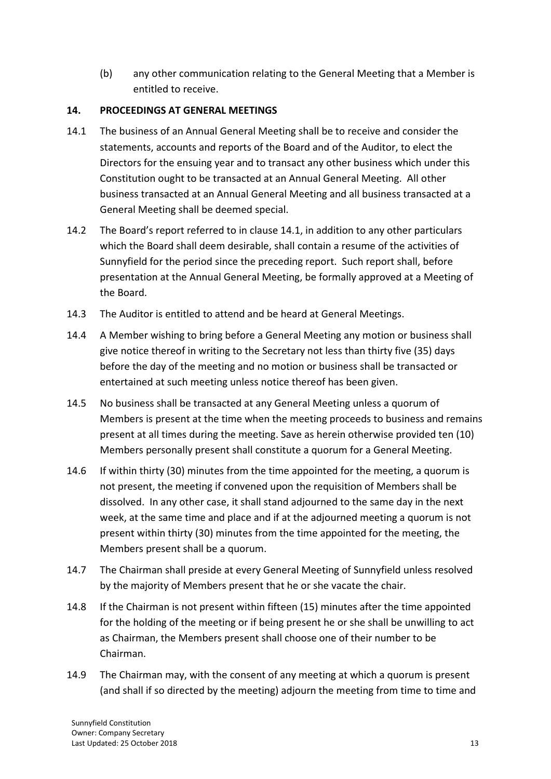(b) any other communication relating to the General Meeting that a Member is entitled to receive.

## **14. PROCEEDINGS AT GENERAL MEETINGS**

- 14.1 The business of an Annual General Meeting shall be to receive and consider the statements, accounts and reports of the Board and of the Auditor, to elect the Directors for the ensuing year and to transact any other business which under this Constitution ought to be transacted at an Annual General Meeting. All other business transacted at an Annual General Meeting and all business transacted at a General Meeting shall be deemed special.
- 14.2 The Board's report referred to in clause 14.1, in addition to any other particulars which the Board shall deem desirable, shall contain a resume of the activities of Sunnyfield for the period since the preceding report. Such report shall, before presentation at the Annual General Meeting, be formally approved at a Meeting of the Board.
- 14.3 The Auditor is entitled to attend and be heard at General Meetings.
- 14.4 A Member wishing to bring before a General Meeting any motion or business shall give notice thereof in writing to the Secretary not less than thirty five (35) days before the day of the meeting and no motion or business shall be transacted or entertained at such meeting unless notice thereof has been given.
- 14.5 No business shall be transacted at any General Meeting unless a quorum of Members is present at the time when the meeting proceeds to business and remains present at all times during the meeting. Save as herein otherwise provided ten (10) Members personally present shall constitute a quorum for a General Meeting.
- 14.6 If within thirty (30) minutes from the time appointed for the meeting, a quorum is not present, the meeting if convened upon the requisition of Members shall be dissolved. In any other case, it shall stand adjourned to the same day in the next week, at the same time and place and if at the adjourned meeting a quorum is not present within thirty (30) minutes from the time appointed for the meeting, the Members present shall be a quorum.
- 14.7 The Chairman shall preside at every General Meeting of Sunnyfield unless resolved by the majority of Members present that he or she vacate the chair.
- 14.8 If the Chairman is not present within fifteen (15) minutes after the time appointed for the holding of the meeting or if being present he or she shall be unwilling to act as Chairman, the Members present shall choose one of their number to be Chairman.
- 14.9 The Chairman may, with the consent of any meeting at which a quorum is present (and shall if so directed by the meeting) adjourn the meeting from time to time and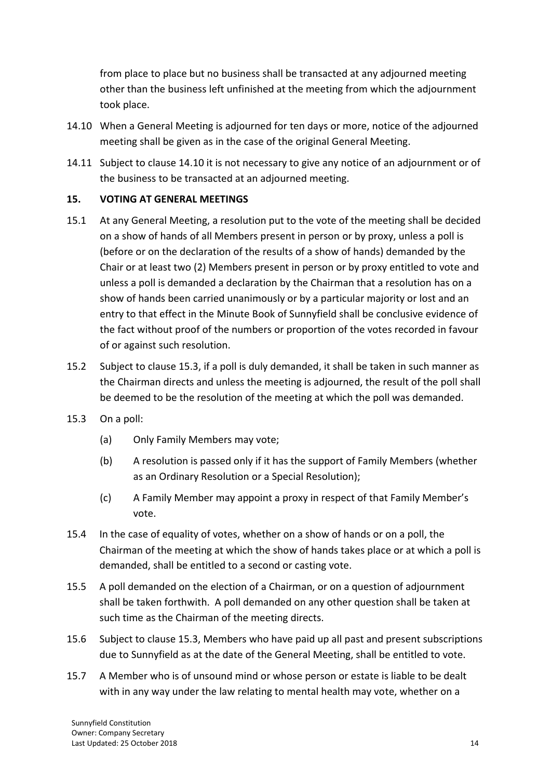from place to place but no business shall be transacted at any adjourned meeting other than the business left unfinished at the meeting from which the adjournment took place.

- 14.10 When a General Meeting is adjourned for ten days or more, notice of the adjourned meeting shall be given as in the case of the original General Meeting.
- 14.11 Subject to clause 14.10 it is not necessary to give any notice of an adjournment or of the business to be transacted at an adjourned meeting.

## **15. VOTING AT GENERAL MEETINGS**

- 15.1 At any General Meeting, a resolution put to the vote of the meeting shall be decided on a show of hands of all Members present in person or by proxy, unless a poll is (before or on the declaration of the results of a show of hands) demanded by the Chair or at least two (2) Members present in person or by proxy entitled to vote and unless a poll is demanded a declaration by the Chairman that a resolution has on a show of hands been carried unanimously or by a particular majority or lost and an entry to that effect in the Minute Book of Sunnyfield shall be conclusive evidence of the fact without proof of the numbers or proportion of the votes recorded in favour of or against such resolution.
- 15.2 Subject to clause 15.3, if a poll is duly demanded, it shall be taken in such manner as the Chairman directs and unless the meeting is adjourned, the result of the poll shall be deemed to be the resolution of the meeting at which the poll was demanded.
- 15.3 On a poll:
	- (a) Only Family Members may vote;
	- (b) A resolution is passed only if it has the support of Family Members (whether as an Ordinary Resolution or a Special Resolution);
	- (c) A Family Member may appoint a proxy in respect of that Family Member's vote.
- 15.4 In the case of equality of votes, whether on a show of hands or on a poll, the Chairman of the meeting at which the show of hands takes place or at which a poll is demanded, shall be entitled to a second or casting vote.
- 15.5 A poll demanded on the election of a Chairman, or on a question of adjournment shall be taken forthwith. A poll demanded on any other question shall be taken at such time as the Chairman of the meeting directs.
- 15.6 Subject to clause 15.3, Members who have paid up all past and present subscriptions due to Sunnyfield as at the date of the General Meeting, shall be entitled to vote.
- 15.7 A Member who is of unsound mind or whose person or estate is liable to be dealt with in any way under the law relating to mental health may vote, whether on a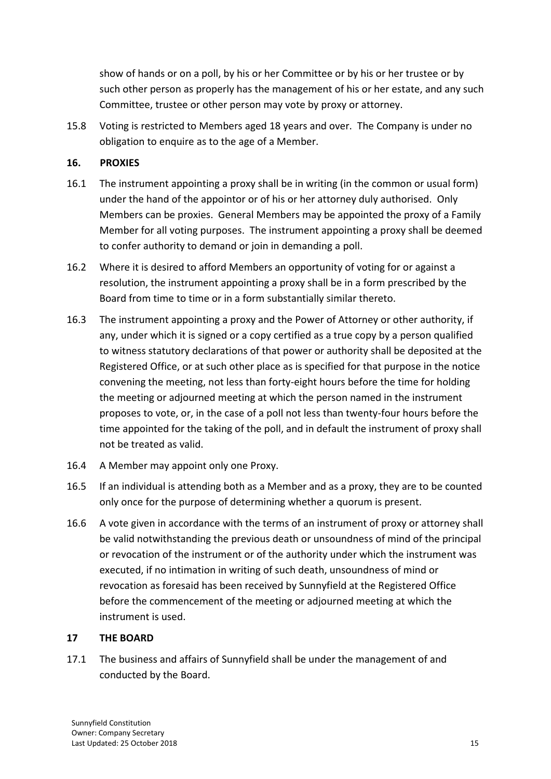show of hands or on a poll, by his or her Committee or by his or her trustee or by such other person as properly has the management of his or her estate, and any such Committee, trustee or other person may vote by proxy or attorney.

15.8 Voting is restricted to Members aged 18 years and over. The Company is under no obligation to enquire as to the age of a Member.

## **16. PROXIES**

- 16.1 The instrument appointing a proxy shall be in writing (in the common or usual form) under the hand of the appointor or of his or her attorney duly authorised. Only Members can be proxies. General Members may be appointed the proxy of a Family Member for all voting purposes. The instrument appointing a proxy shall be deemed to confer authority to demand or join in demanding a poll.
- 16.2 Where it is desired to afford Members an opportunity of voting for or against a resolution, the instrument appointing a proxy shall be in a form prescribed by the Board from time to time or in a form substantially similar thereto.
- 16.3 The instrument appointing a proxy and the Power of Attorney or other authority, if any, under which it is signed or a copy certified as a true copy by a person qualified to witness statutory declarations of that power or authority shall be deposited at the Registered Office, or at such other place as is specified for that purpose in the notice convening the meeting, not less than forty-eight hours before the time for holding the meeting or adjourned meeting at which the person named in the instrument proposes to vote, or, in the case of a poll not less than twenty-four hours before the time appointed for the taking of the poll, and in default the instrument of proxy shall not be treated as valid.
- 16.4 A Member may appoint only one Proxy.
- 16.5 If an individual is attending both as a Member and as a proxy, they are to be counted only once for the purpose of determining whether a quorum is present.
- 16.6 A vote given in accordance with the terms of an instrument of proxy or attorney shall be valid notwithstanding the previous death or unsoundness of mind of the principal or revocation of the instrument or of the authority under which the instrument was executed, if no intimation in writing of such death, unsoundness of mind or revocation as foresaid has been received by Sunnyfield at the Registered Office before the commencement of the meeting or adjourned meeting at which the instrument is used.

## **17 THE BOARD**

17.1 The business and affairs of Sunnyfield shall be under the management of and conducted by the Board.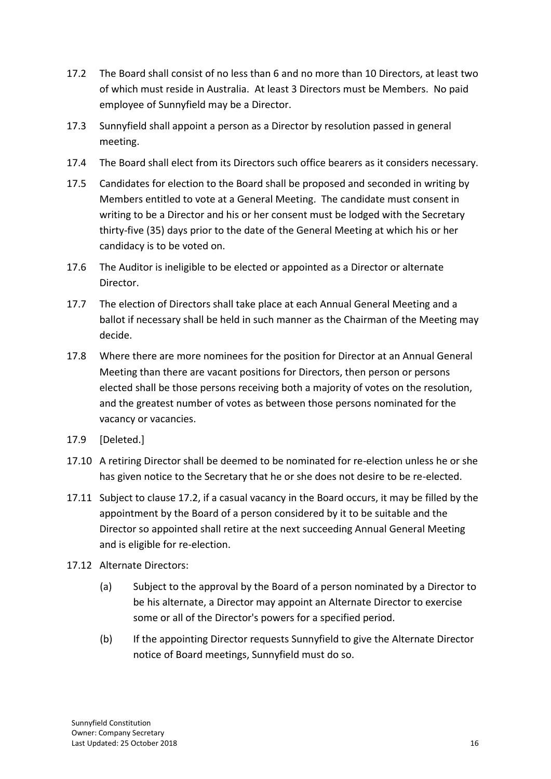- 17.2 The Board shall consist of no less than 6 and no more than 10 Directors, at least two of which must reside in Australia. At least 3 Directors must be Members. No paid employee of Sunnyfield may be a Director.
- 17.3 Sunnyfield shall appoint a person as a Director by resolution passed in general meeting.
- 17.4 The Board shall elect from its Directors such office bearers as it considers necessary.
- 17.5 Candidates for election to the Board shall be proposed and seconded in writing by Members entitled to vote at a General Meeting. The candidate must consent in writing to be a Director and his or her consent must be lodged with the Secretary thirty-five (35) days prior to the date of the General Meeting at which his or her candidacy is to be voted on.
- 17.6 The Auditor is ineligible to be elected or appointed as a Director or alternate Director.
- 17.7 The election of Directors shall take place at each Annual General Meeting and a ballot if necessary shall be held in such manner as the Chairman of the Meeting may decide.
- 17.8 Where there are more nominees for the position for Director at an Annual General Meeting than there are vacant positions for Directors, then person or persons elected shall be those persons receiving both a majority of votes on the resolution, and the greatest number of votes as between those persons nominated for the vacancy or vacancies.
- 17.9 [Deleted.]
- 17.10 A retiring Director shall be deemed to be nominated for re-election unless he or she has given notice to the Secretary that he or she does not desire to be re-elected.
- 17.11 Subject to clause 17.2, if a casual vacancy in the Board occurs, it may be filled by the appointment by the Board of a person considered by it to be suitable and the Director so appointed shall retire at the next succeeding Annual General Meeting and is eligible for re-election.
- 17.12 Alternate Directors:
	- (a) Subject to the approval by the Board of a person nominated by a Director to be his alternate, a Director may appoint an Alternate Director to exercise some or all of the Director's powers for a specified period.
	- (b) If the appointing Director requests Sunnyfield to give the Alternate Director notice of Board meetings, Sunnyfield must do so.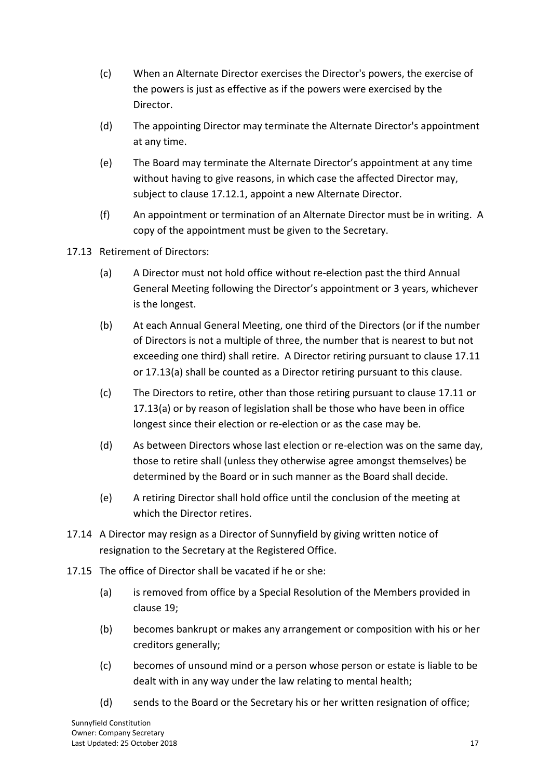- (c) When an Alternate Director exercises the Director's powers, the exercise of the powers is just as effective as if the powers were exercised by the Director.
- (d) The appointing Director may terminate the Alternate Director's appointment at any time.
- (e) The Board may terminate the Alternate Director's appointment at any time without having to give reasons, in which case the affected Director may, subject to clause 17.12.1, appoint a new Alternate Director.
- (f) An appointment or termination of an Alternate Director must be in writing. A copy of the appointment must be given to the Secretary.
- 17.13 Retirement of Directors:
	- (a) A Director must not hold office without re-election past the third Annual General Meeting following the Director's appointment or 3 years, whichever is the longest.
	- (b) At each Annual General Meeting, one third of the Directors (or if the number of Directors is not a multiple of three, the number that is nearest to but not exceeding one third) shall retire. A Director retiring pursuant to clause 17.11 or 17.13(a) shall be counted as a Director retiring pursuant to this clause.
	- (c) The Directors to retire, other than those retiring pursuant to clause 17.11 or 17.13(a) or by reason of legislation shall be those who have been in office longest since their election or re-election or as the case may be.
	- (d) As between Directors whose last election or re-election was on the same day, those to retire shall (unless they otherwise agree amongst themselves) be determined by the Board or in such manner as the Board shall decide.
	- (e) A retiring Director shall hold office until the conclusion of the meeting at which the Director retires.
- 17.14 A Director may resign as a Director of Sunnyfield by giving written notice of resignation to the Secretary at the Registered Office.
- 17.15 The office of Director shall be vacated if he or she:
	- (a) is removed from office by a Special Resolution of the Members provided in clause 19;
	- (b) becomes bankrupt or makes any arrangement or composition with his or her creditors generally;
	- (c) becomes of unsound mind or a person whose person or estate is liable to be dealt with in any way under the law relating to mental health;
	- (d) sends to the Board or the Secretary his or her written resignation of office;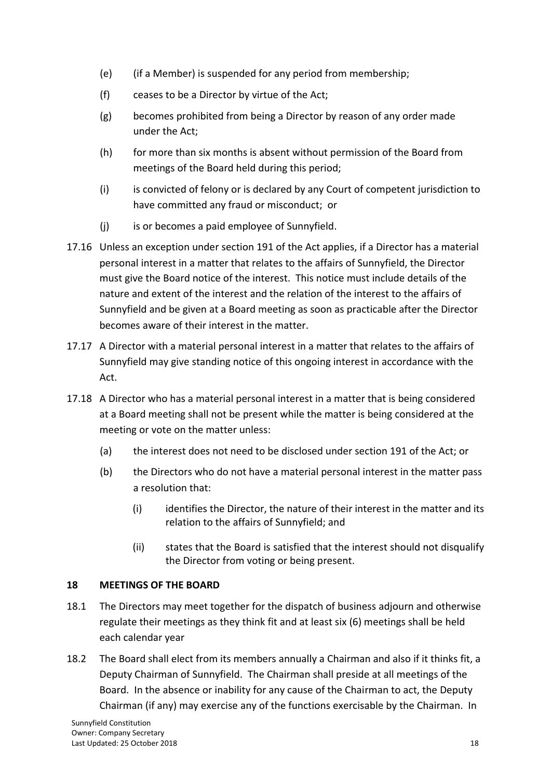- (e) (if a Member) is suspended for any period from membership;
- (f) ceases to be a Director by virtue of the Act;
- (g) becomes prohibited from being a Director by reason of any order made under the Act;
- (h) for more than six months is absent without permission of the Board from meetings of the Board held during this period;
- (i) is convicted of felony or is declared by any Court of competent jurisdiction to have committed any fraud or misconduct; or
- (j) is or becomes a paid employee of Sunnyfield.
- 17.16 Unless an exception under section 191 of the Act applies, if a Director has a material personal interest in a matter that relates to the affairs of Sunnyfield, the Director must give the Board notice of the interest. This notice must include details of the nature and extent of the interest and the relation of the interest to the affairs of Sunnyfield and be given at a Board meeting as soon as practicable after the Director becomes aware of their interest in the matter.
- 17.17 A Director with a material personal interest in a matter that relates to the affairs of Sunnyfield may give standing notice of this ongoing interest in accordance with the Act.
- 17.18 A Director who has a material personal interest in a matter that is being considered at a Board meeting shall not be present while the matter is being considered at the meeting or vote on the matter unless:
	- (a) the interest does not need to be disclosed under section 191 of the Act; or
	- (b) the Directors who do not have a material personal interest in the matter pass a resolution that:
		- (i) identifies the Director, the nature of their interest in the matter and its relation to the affairs of Sunnyfield; and
		- (ii) states that the Board is satisfied that the interest should not disqualify the Director from voting or being present.

## **18 MEETINGS OF THE BOARD**

- 18.1 The Directors may meet together for the dispatch of business adjourn and otherwise regulate their meetings as they think fit and at least six (6) meetings shall be held each calendar year
- 18.2 The Board shall elect from its members annually a Chairman and also if it thinks fit, a Deputy Chairman of Sunnyfield. The Chairman shall preside at all meetings of the Board. In the absence or inability for any cause of the Chairman to act, the Deputy Chairman (if any) may exercise any of the functions exercisable by the Chairman. In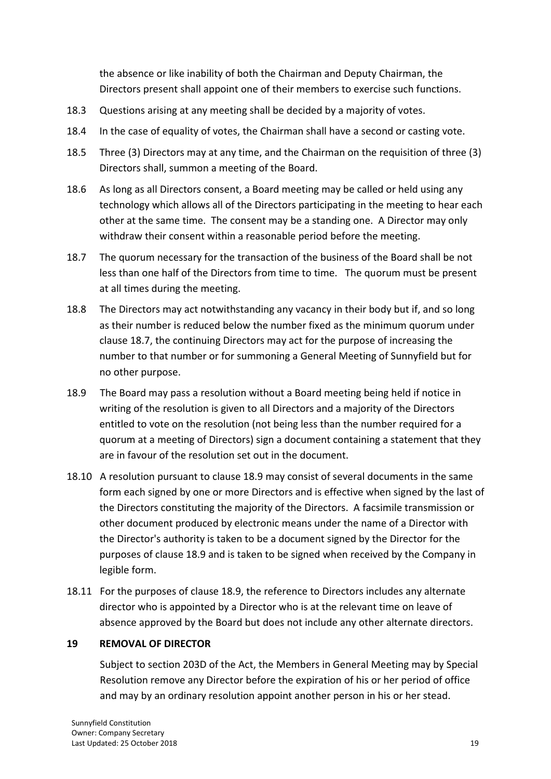the absence or like inability of both the Chairman and Deputy Chairman, the Directors present shall appoint one of their members to exercise such functions.

- 18.3 Questions arising at any meeting shall be decided by a majority of votes.
- 18.4 In the case of equality of votes, the Chairman shall have a second or casting vote.
- 18.5 Three (3) Directors may at any time, and the Chairman on the requisition of three (3) Directors shall, summon a meeting of the Board.
- 18.6 As long as all Directors consent, a Board meeting may be called or held using any technology which allows all of the Directors participating in the meeting to hear each other at the same time. The consent may be a standing one. A Director may only withdraw their consent within a reasonable period before the meeting.
- 18.7 The quorum necessary for the transaction of the business of the Board shall be not less than one half of the Directors from time to time. The quorum must be present at all times during the meeting.
- 18.8 The Directors may act notwithstanding any vacancy in their body but if, and so long as their number is reduced below the number fixed as the minimum quorum under clause 18.7, the continuing Directors may act for the purpose of increasing the number to that number or for summoning a General Meeting of Sunnyfield but for no other purpose.
- 18.9 The Board may pass a resolution without a Board meeting being held if notice in writing of the resolution is given to all Directors and a majority of the Directors entitled to vote on the resolution (not being less than the number required for a quorum at a meeting of Directors) sign a document containing a statement that they are in favour of the resolution set out in the document.
- 18.10 A resolution pursuant to clause 18.9 may consist of several documents in the same form each signed by one or more Directors and is effective when signed by the last of the Directors constituting the majority of the Directors. A facsimile transmission or other document produced by electronic means under the name of a Director with the Director's authority is taken to be a document signed by the Director for the purposes of clause 18.9 and is taken to be signed when received by the Company in legible form.
- 18.11 For the purposes of clause 18.9, the reference to Directors includes any alternate director who is appointed by a Director who is at the relevant time on leave of absence approved by the Board but does not include any other alternate directors.

## **19 REMOVAL OF DIRECTOR**

Subject to section 203D of the Act, the Members in General Meeting may by Special Resolution remove any Director before the expiration of his or her period of office and may by an ordinary resolution appoint another person in his or her stead.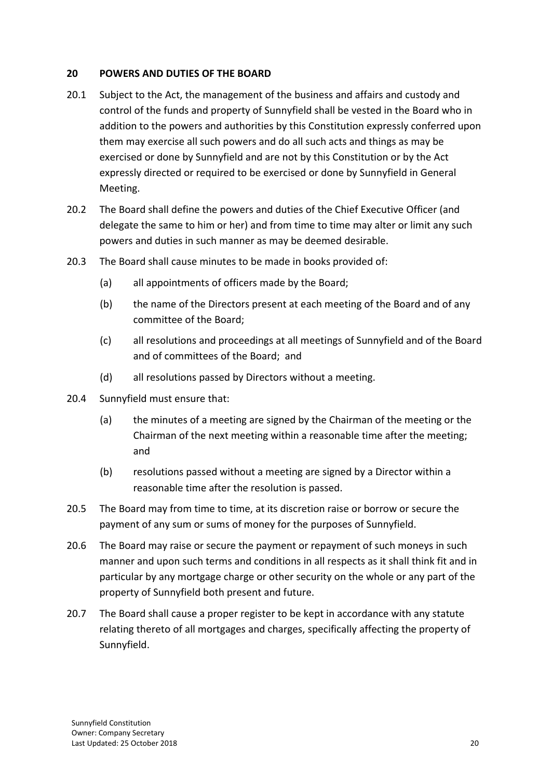#### **20 POWERS AND DUTIES OF THE BOARD**

- 20.1 Subject to the Act, the management of the business and affairs and custody and control of the funds and property of Sunnyfield shall be vested in the Board who in addition to the powers and authorities by this Constitution expressly conferred upon them may exercise all such powers and do all such acts and things as may be exercised or done by Sunnyfield and are not by this Constitution or by the Act expressly directed or required to be exercised or done by Sunnyfield in General Meeting.
- 20.2 The Board shall define the powers and duties of the Chief Executive Officer (and delegate the same to him or her) and from time to time may alter or limit any such powers and duties in such manner as may be deemed desirable.
- 20.3 The Board shall cause minutes to be made in books provided of:
	- (a) all appointments of officers made by the Board;
	- (b) the name of the Directors present at each meeting of the Board and of any committee of the Board;
	- (c) all resolutions and proceedings at all meetings of Sunnyfield and of the Board and of committees of the Board; and
	- (d) all resolutions passed by Directors without a meeting.
- 20.4 Sunnyfield must ensure that:
	- (a) the minutes of a meeting are signed by the Chairman of the meeting or the Chairman of the next meeting within a reasonable time after the meeting; and
	- (b) resolutions passed without a meeting are signed by a Director within a reasonable time after the resolution is passed.
- 20.5 The Board may from time to time, at its discretion raise or borrow or secure the payment of any sum or sums of money for the purposes of Sunnyfield.
- 20.6 The Board may raise or secure the payment or repayment of such moneys in such manner and upon such terms and conditions in all respects as it shall think fit and in particular by any mortgage charge or other security on the whole or any part of the property of Sunnyfield both present and future.
- 20.7 The Board shall cause a proper register to be kept in accordance with any statute relating thereto of all mortgages and charges, specifically affecting the property of Sunnyfield.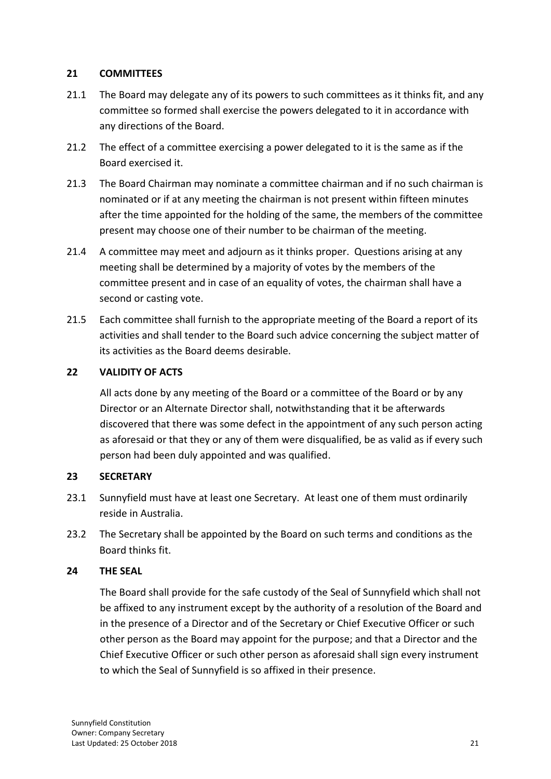#### **21 COMMITTEES**

- 21.1 The Board may delegate any of its powers to such committees as it thinks fit, and any committee so formed shall exercise the powers delegated to it in accordance with any directions of the Board.
- 21.2 The effect of a committee exercising a power delegated to it is the same as if the Board exercised it.
- 21.3 The Board Chairman may nominate a committee chairman and if no such chairman is nominated or if at any meeting the chairman is not present within fifteen minutes after the time appointed for the holding of the same, the members of the committee present may choose one of their number to be chairman of the meeting.
- 21.4 A committee may meet and adjourn as it thinks proper. Questions arising at any meeting shall be determined by a majority of votes by the members of the committee present and in case of an equality of votes, the chairman shall have a second or casting vote.
- 21.5 Each committee shall furnish to the appropriate meeting of the Board a report of its activities and shall tender to the Board such advice concerning the subject matter of its activities as the Board deems desirable.

## **22 VALIDITY OF ACTS**

All acts done by any meeting of the Board or a committee of the Board or by any Director or an Alternate Director shall, notwithstanding that it be afterwards discovered that there was some defect in the appointment of any such person acting as aforesaid or that they or any of them were disqualified, be as valid as if every such person had been duly appointed and was qualified.

## **23 SECRETARY**

- 23.1 Sunnyfield must have at least one Secretary. At least one of them must ordinarily reside in Australia.
- 23.2 The Secretary shall be appointed by the Board on such terms and conditions as the Board thinks fit.

#### **24 THE SEAL**

The Board shall provide for the safe custody of the Seal of Sunnyfield which shall not be affixed to any instrument except by the authority of a resolution of the Board and in the presence of a Director and of the Secretary or Chief Executive Officer or such other person as the Board may appoint for the purpose; and that a Director and the Chief Executive Officer or such other person as aforesaid shall sign every instrument to which the Seal of Sunnyfield is so affixed in their presence.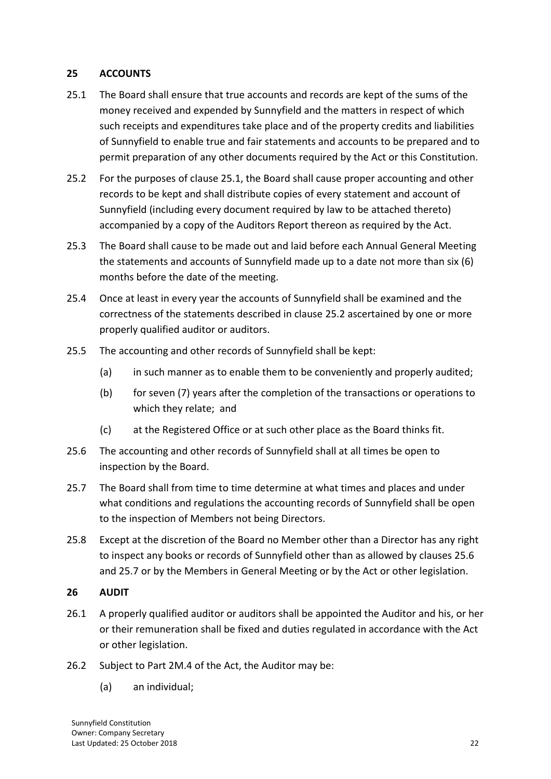#### **25 ACCOUNTS**

- 25.1 The Board shall ensure that true accounts and records are kept of the sums of the money received and expended by Sunnyfield and the matters in respect of which such receipts and expenditures take place and of the property credits and liabilities of Sunnyfield to enable true and fair statements and accounts to be prepared and to permit preparation of any other documents required by the Act or this Constitution.
- 25.2 For the purposes of clause 25.1, the Board shall cause proper accounting and other records to be kept and shall distribute copies of every statement and account of Sunnyfield (including every document required by law to be attached thereto) accompanied by a copy of the Auditors Report thereon as required by the Act.
- 25.3 The Board shall cause to be made out and laid before each Annual General Meeting the statements and accounts of Sunnyfield made up to a date not more than six (6) months before the date of the meeting.
- 25.4 Once at least in every year the accounts of Sunnyfield shall be examined and the correctness of the statements described in clause 25.2 ascertained by one or more properly qualified auditor or auditors.
- 25.5 The accounting and other records of Sunnyfield shall be kept:
	- (a) in such manner as to enable them to be conveniently and properly audited;
	- (b) for seven (7) years after the completion of the transactions or operations to which they relate; and
	- (c) at the Registered Office or at such other place as the Board thinks fit.
- 25.6 The accounting and other records of Sunnyfield shall at all times be open to inspection by the Board.
- 25.7 The Board shall from time to time determine at what times and places and under what conditions and regulations the accounting records of Sunnyfield shall be open to the inspection of Members not being Directors.
- 25.8 Except at the discretion of the Board no Member other than a Director has any right to inspect any books or records of Sunnyfield other than as allowed by clauses 25.6 and 25.7 or by the Members in General Meeting or by the Act or other legislation.

#### **26 AUDIT**

- 26.1 A properly qualified auditor or auditors shall be appointed the Auditor and his, or her or their remuneration shall be fixed and duties regulated in accordance with the Act or other legislation.
- 26.2 Subject to Part 2M.4 of the Act, the Auditor may be:
	- (a) an individual;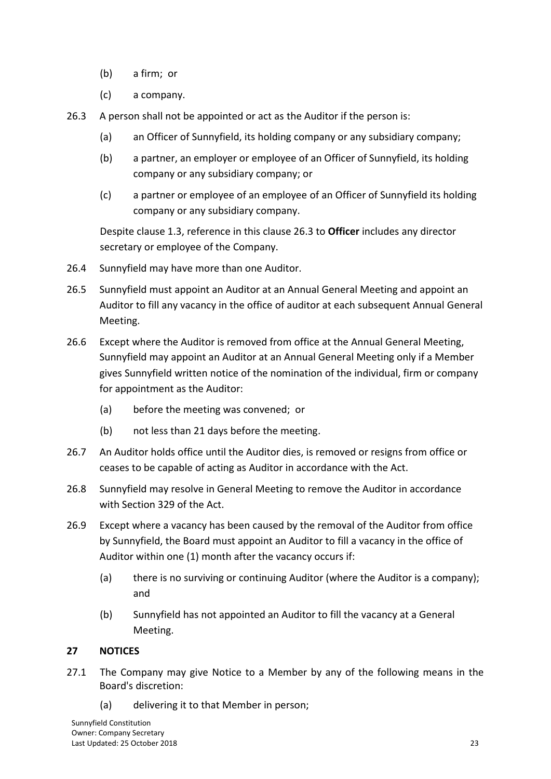- (b) a firm; or
- (c) a company.
- 26.3 A person shall not be appointed or act as the Auditor if the person is:
	- (a) an Officer of Sunnyfield, its holding company or any subsidiary company;
	- (b) a partner, an employer or employee of an Officer of Sunnyfield, its holding company or any subsidiary company; or
	- (c) a partner or employee of an employee of an Officer of Sunnyfield its holding company or any subsidiary company.

Despite clause 1.3, reference in this clause 26.3 to **Officer** includes any director secretary or employee of the Company.

- 26.4 Sunnyfield may have more than one Auditor.
- 26.5 Sunnyfield must appoint an Auditor at an Annual General Meeting and appoint an Auditor to fill any vacancy in the office of auditor at each subsequent Annual General Meeting.
- 26.6 Except where the Auditor is removed from office at the Annual General Meeting, Sunnyfield may appoint an Auditor at an Annual General Meeting only if a Member gives Sunnyfield written notice of the nomination of the individual, firm or company for appointment as the Auditor:
	- (a) before the meeting was convened; or
	- (b) not less than 21 days before the meeting.
- 26.7 An Auditor holds office until the Auditor dies, is removed or resigns from office or ceases to be capable of acting as Auditor in accordance with the Act.
- 26.8 Sunnyfield may resolve in General Meeting to remove the Auditor in accordance with Section 329 of the Act.
- 26.9 Except where a vacancy has been caused by the removal of the Auditor from office by Sunnyfield, the Board must appoint an Auditor to fill a vacancy in the office of Auditor within one (1) month after the vacancy occurs if:
	- (a) there is no surviving or continuing Auditor (where the Auditor is a company); and
	- (b) Sunnyfield has not appointed an Auditor to fill the vacancy at a General Meeting.

## **27 NOTICES**

- 27.1 The Company may give Notice to a Member by any of the following means in the Board's discretion:
	- (a) delivering it to that Member in person;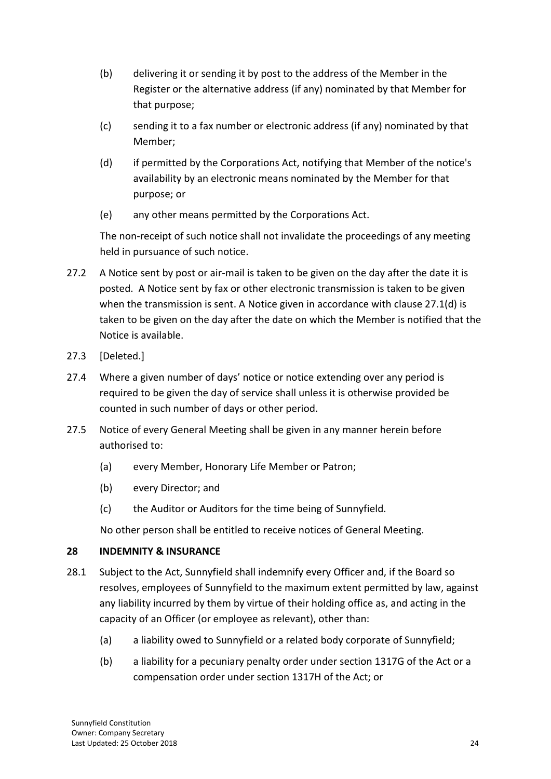- (b) delivering it or sending it by post to the address of the Member in the Register or the alternative address (if any) nominated by that Member for that purpose;
- (c) sending it to a fax number or electronic address (if any) nominated by that Member;
- (d) if permitted by the Corporations Act, notifying that Member of the notice's availability by an electronic means nominated by the Member for that purpose; or
- (e) any other means permitted by the Corporations Act.

The non-receipt of such notice shall not invalidate the proceedings of any meeting held in pursuance of such notice.

- 27.2 A Notice sent by post or air-mail is taken to be given on the day after the date it is posted. A Notice sent by fax or other electronic transmission is taken to be given when the transmission is sent. A Notice given in accordance with clause 27.1(d) is taken to be given on the day after the date on which the Member is notified that the Notice is available.
- 27.3 [Deleted.]
- 27.4 Where a given number of days' notice or notice extending over any period is required to be given the day of service shall unless it is otherwise provided be counted in such number of days or other period.
- 27.5 Notice of every General Meeting shall be given in any manner herein before authorised to:
	- (a) every Member, Honorary Life Member or Patron;
	- (b) every Director; and
	- (c) the Auditor or Auditors for the time being of Sunnyfield.

No other person shall be entitled to receive notices of General Meeting.

## **28 INDEMNITY & INSURANCE**

- 28.1 Subject to the Act, Sunnyfield shall indemnify every Officer and, if the Board so resolves, employees of Sunnyfield to the maximum extent permitted by law, against any liability incurred by them by virtue of their holding office as, and acting in the capacity of an Officer (or employee as relevant), other than:
	- (a) a liability owed to Sunnyfield or a related body corporate of Sunnyfield;
	- (b) a liability for a pecuniary penalty order under section 1317G of the Act or a compensation order under section 1317H of the Act; or